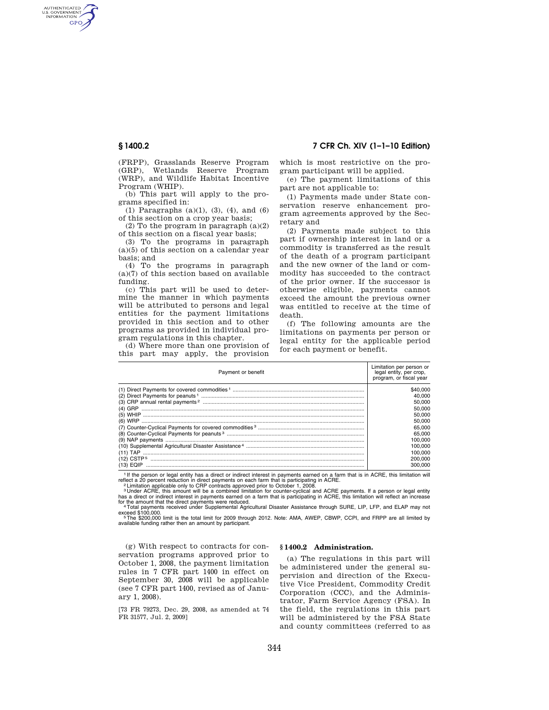AUTHENTICATED<br>U.S. GOVERNMENT<br>INFORMATION **GPO** 

> (FRPP), Grasslands Reserve Program (GRP), Wetlands Reserve Program (WRP), and Wildlife Habitat Incentive Program (WHIP).

(b) This part will apply to the programs specified in:

(1) Paragraphs (a)(1), (3), (4), and (6) of this section on a crop year basis;

(2) To the program in paragraph (a)(2) of this section on a fiscal year basis;

(3) To the programs in paragraph (a)(5) of this section on a calendar year basis; and

(4) To the programs in paragraph (a)(7) of this section based on available funding.

(c) This part will be used to determine the manner in which payments will be attributed to persons and legal entities for the payment limitations provided in this section and to other programs as provided in individual program regulations in this chapter.

(d) Where more than one provision of this part may apply, the provision

**§ 1400.2 7 CFR Ch. XIV (1–1–10 Edition)** 

which is most restrictive on the program participant will be applied.

(e) The payment limitations of this part are not applicable to:

(1) Payments made under State conservation reserve enhancement program agreements approved by the Secretary and

(2) Payments made subject to this part if ownership interest in land or a commodity is transferred as the result of the death of a program participant and the new owner of the land or commodity has succeeded to the contract of the prior owner. If the successor is otherwise eligible, payments cannot exceed the amount the previous owner was entitled to receive at the time of death.

(f) The following amounts are the limitations on payments per person or legal entity for the applicable period for each payment or benefit.

| Payment or benefit                                                                                                                                                                                                             | Limitation per person or<br>legal entity, per crop,<br>program, or fiscal year |
|--------------------------------------------------------------------------------------------------------------------------------------------------------------------------------------------------------------------------------|--------------------------------------------------------------------------------|
|                                                                                                                                                                                                                                | \$40,000                                                                       |
|                                                                                                                                                                                                                                | 40.000                                                                         |
|                                                                                                                                                                                                                                | 50,000                                                                         |
|                                                                                                                                                                                                                                | 50,000                                                                         |
|                                                                                                                                                                                                                                | 50,000                                                                         |
|                                                                                                                                                                                                                                | 50,000                                                                         |
|                                                                                                                                                                                                                                | 65.000                                                                         |
|                                                                                                                                                                                                                                | 65,000                                                                         |
|                                                                                                                                                                                                                                | 100.000                                                                        |
|                                                                                                                                                                                                                                | 100.000                                                                        |
|                                                                                                                                                                                                                                | 100.000                                                                        |
|                                                                                                                                                                                                                                | 200,000                                                                        |
|                                                                                                                                                                                                                                | 300,000                                                                        |
| the state of the state of the state of the state of the state of the state of the state of the state of the state of the state of the state of the state of the state of the state of the state of the state of the state of t |                                                                                |

<sup>1</sup> If the person or legal entity has a direct or indirect interest in payments earned on a farm that is in ACRE, this limitation will reflect a 20 percent reduction in direct payments on each farm that is participating i

exceed \$100,000.<br>『The \$200,000 limit is the total limit for 2009 through 2012. Note: AMA, AWEP, CBWP, CCPI, and FRPP are all limited by<br>available funding rather then an amount by participant.

(g) With respect to contracts for conservation programs approved prior to October 1, 2008, the payment limitation rules in 7 CFR part 1400 in effect on September 30, 2008 will be applicable (see 7 CFR part 1400, revised as of January 1, 2008).

[73 FR 79273, Dec. 29, 2008, as amended at 74 FR 31577, Jul. 2, 2009]

## **§ 1400.2 Administration.**

(a) The regulations in this part will be administered under the general supervision and direction of the Executive Vice President, Commodity Credit Corporation (CCC), and the Administrator, Farm Service Agency (FSA). In the field, the regulations in this part will be administered by the FSA State and county committees (referred to as